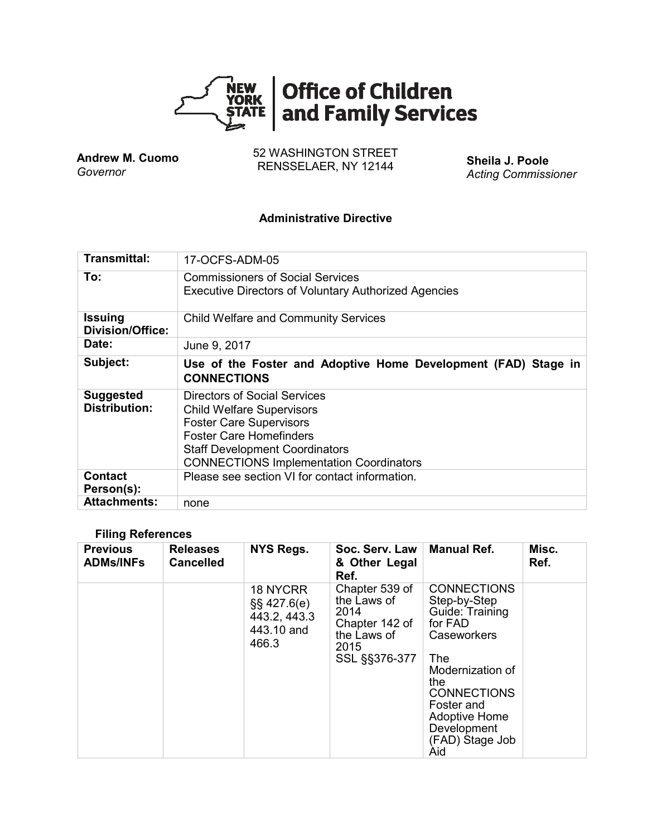

**Andrew M. Cuomo** *Governor*

52 WASHINGTON STREET RENSSELAER, NY 12144 **Sheila J. Poole**

*Acting Commissioner*

#### **Administrative Directive**

| Transmittal:                              | 17-OCFS-ADM-05                                                                                                                                                                                                                  |
|-------------------------------------------|---------------------------------------------------------------------------------------------------------------------------------------------------------------------------------------------------------------------------------|
| To:                                       | <b>Commissioners of Social Services</b><br><b>Executive Directors of Voluntary Authorized Agencies</b>                                                                                                                          |
| <b>Issuing</b><br><b>Division/Office:</b> | <b>Child Welfare and Community Services</b>                                                                                                                                                                                     |
| Date:                                     | June 9, 2017                                                                                                                                                                                                                    |
| Subject:                                  | Use of the Foster and Adoptive Home Development (FAD) Stage in<br><b>CONNECTIONS</b>                                                                                                                                            |
| <b>Suggested</b><br><b>Distribution:</b>  | Directors of Social Services<br><b>Child Welfare Supervisors</b><br><b>Foster Care Supervisors</b><br><b>Foster Care Homefinders</b><br><b>Staff Development Coordinators</b><br><b>CONNECTIONS Implementation Coordinators</b> |
| <b>Contact</b><br>Person(s):              | Please see section VI for contact information.                                                                                                                                                                                  |
| <b>Attachments:</b>                       | none                                                                                                                                                                                                                            |

### **Filing References**

| <b>Previous</b><br><b>ADMs/INFs</b> | <b>Releases</b><br><b>Cancelled</b> | <b>NYS Regs.</b>                                                    | Soc. Serv. Law<br>& Other Legal<br>Ref.                                                         | <b>Manual Ref.</b>                                                                                                                                                                                                            | Misc.<br>Ref. |
|-------------------------------------|-------------------------------------|---------------------------------------------------------------------|-------------------------------------------------------------------------------------------------|-------------------------------------------------------------------------------------------------------------------------------------------------------------------------------------------------------------------------------|---------------|
|                                     |                                     | 18 NYCRR<br>$\S$ \$ 427.6(e)<br>443.2, 443.3<br>443.10 and<br>466.3 | Chapter 539 of<br>the Laws of<br>2014<br>Chapter 142 of<br>the Laws of<br>2015<br>SSL §§376-377 | <b>CONNECTIONS</b><br>Step-by-Step<br>Guide: Training<br>for FAD<br>Caseworkers<br><b>The</b><br>Modernization of<br>the<br><b>CONNECTIONS</b><br>Foster and<br><b>Adoptive Home</b><br>Development<br>(FAD) Stage Job<br>Aid |               |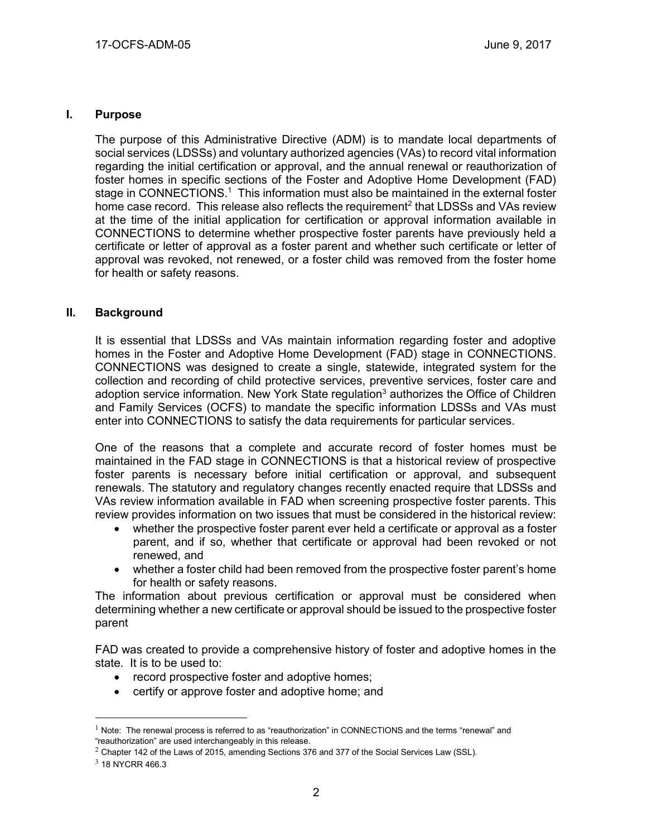#### **I. Purpose**

The purpose of this Administrative Directive (ADM) is to mandate local departments of social services (LDSSs) and voluntary authorized agencies (VAs) to record vital information regarding the initial certification or approval, and the annual renewal or reauthorization of foster homes in specific sections of the Foster and Adoptive Home Development (FAD) stage in CONNECTIONS.<sup>1</sup> This information must also be maintained in the external foster home case record. This release also reflects the requirement<sup>2</sup> that LDSSs and VAs review at the time of the initial application for certification or approval information available in CONNECTIONS to determine whether prospective foster parents have previously held a certificate or letter of approval as a foster parent and whether such certificate or letter of approval was revoked, not renewed, or a foster child was removed from the foster home for health or safety reasons.

### **II. Background**

It is essential that LDSSs and VAs maintain information regarding foster and adoptive homes in the Foster and Adoptive Home Development (FAD) stage in CONNECTIONS. CONNECTIONS was designed to create a single, statewide, integrated system for the collection and recording of child protective services, preventive services, foster care and adoption service information. New York State regulation<sup>3</sup> authorizes the Office of Children and Family Services (OCFS) to mandate the specific information LDSSs and VAs must enter into CONNECTIONS to satisfy the data requirements for particular services.

One of the reasons that a complete and accurate record of foster homes must be maintained in the FAD stage in CONNECTIONS is that a historical review of prospective foster parents is necessary before initial certification or approval, and subsequent renewals. The statutory and regulatory changes recently enacted require that LDSSs and VAs review information available in FAD when screening prospective foster parents. This review provides information on two issues that must be considered in the historical review:

- whether the prospective foster parent ever held a certificate or approval as a foster parent, and if so, whether that certificate or approval had been revoked or not renewed, and
- whether a foster child had been removed from the prospective foster parent's home for health or safety reasons.

The information about previous certification or approval must be considered when determining whether a new certificate or approval should be issued to the prospective foster parent

FAD was created to provide a comprehensive history of foster and adoptive homes in the state. It is to be used to:

- record prospective foster and adoptive homes;
- certify or approve foster and adoptive home; and

 $1$  Note: The renewal process is referred to as "reauthorization" in CONNECTIONS and the terms "renewal" and "reauthorization" are used interchangeably in this release.

 $2$  Chapter 142 of the Laws of 2015, amending Sections 376 and 377 of the Social Services Law (SSL).

 $3$  18 NYCRR 466.3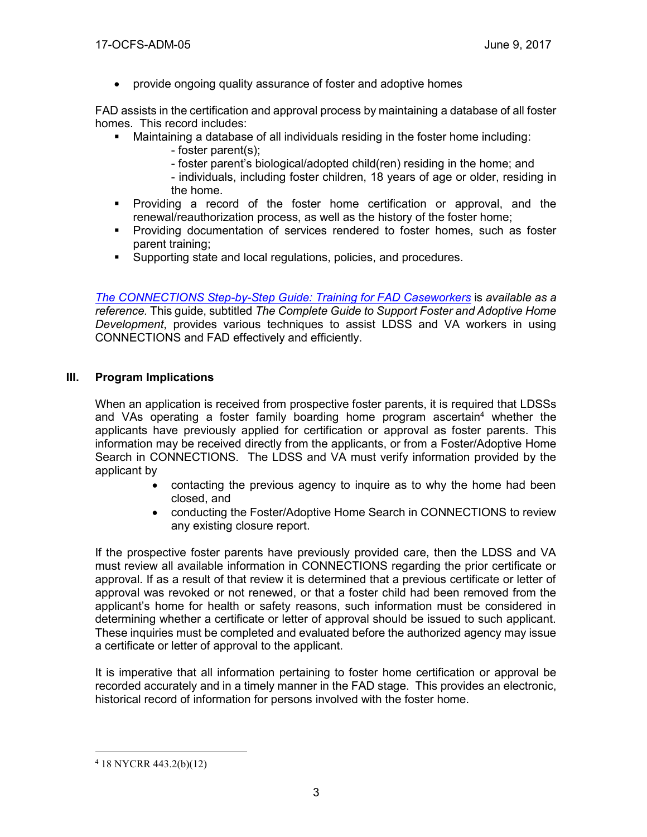provide ongoing quality assurance of foster and adoptive homes

FAD assists in the certification and approval process by maintaining a database of all foster homes. This record includes:

- Maintaining a database of all individuals residing in the foster home including:
	- foster parent(s);
	- foster parent's biological/adopted child(ren) residing in the home; and
	- individuals, including foster children, 18 years of age or older, residing in the home.
- Providing a record of the foster home certification or approval, and the renewal/reauthorization process, as well as the history of the foster home;
- Providing documentation of services rendered to foster homes, such as foster parent training;
- Supporting state and local regulations, policies, and procedures.

*[The CONNECTIONS Step-by-Step Guide:](http://ocfs.ny.gov/connect/jobaides/FAD%20Step-by-Step%20Guide%20rev%2004-12-2006.pdf?_sm_au_=iVVPTnjSN4MWH5VN) Training for FAD Caseworkers* is *available as a reference.* This guide, subtitled *The Complete Guide to Support Foster and Adoptive Home Development*, provides various techniques to assist LDSS and VA workers in using CONNECTIONS and FAD effectively and efficiently.

### **III. Program Implications**

When an application is received from prospective foster parents, it is required that LDSSs and VAs operating a foster family boarding home program ascertain<sup>4</sup> whether the applicants have previously applied for certification or approval as foster parents. This information may be received directly from the applicants, or from a Foster/Adoptive Home Search in CONNECTIONS. The LDSS and VA must verify information provided by the applicant by

- contacting the previous agency to inquire as to why the home had been closed, and
- conducting the Foster/Adoptive Home Search in CONNECTIONS to review any existing closure report.

If the prospective foster parents have previously provided care, then the LDSS and VA must review all available information in CONNECTIONS regarding the prior certificate or approval. If as a result of that review it is determined that a previous certificate or letter of approval was revoked or not renewed, or that a foster child had been removed from the applicant's home for health or safety reasons, such information must be considered in determining whether a certificate or letter of approval should be issued to such applicant. These inquiries must be completed and evaluated before the authorized agency may issue a certificate or letter of approval to the applicant.

It is imperative that all information pertaining to foster home certification or approval be recorded accurately and in a timely manner in the FAD stage. This provides an electronic, historical record of information for persons involved with the foster home.

<sup>4</sup> 18 NYCRR 443.2(b)(12)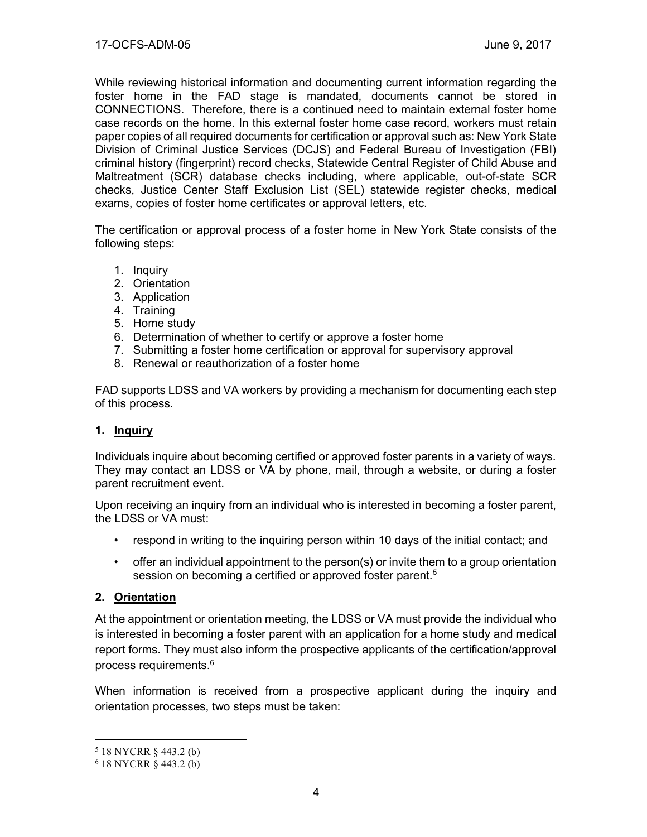While reviewing historical information and documenting current information regarding the foster home in the FAD stage is mandated, documents cannot be stored in CONNECTIONS. Therefore, there is a continued need to maintain external foster home case records on the home. In this external foster home case record, workers must retain paper copies of all required documents for certification or approval such as: New York State Division of Criminal Justice Services (DCJS) and Federal Bureau of Investigation (FBI) criminal history (fingerprint) record checks, Statewide Central Register of Child Abuse and Maltreatment (SCR) database checks including, where applicable, out-of-state SCR checks, Justice Center Staff Exclusion List (SEL) statewide register checks, medical exams, copies of foster home certificates or approval letters, etc.

The certification or approval process of a foster home in New York State consists of the following steps:

- 1. Inquiry
- 2. Orientation
- 3. Application
- 4. Training
- 5. Home study
- 6. Determination of whether to certify or approve a foster home
- 7. Submitting a foster home certification or approval for supervisory approval
- 8. Renewal or reauthorization of a foster home

FAD supports LDSS and VA workers by providing a mechanism for documenting each step of this process.

### **1. Inquiry**

Individuals inquire about becoming certified or approved foster parents in a variety of ways. They may contact an LDSS or VA by phone, mail, through a website, or during a foster parent recruitment event.

Upon receiving an inquiry from an individual who is interested in becoming a foster parent, the LDSS or VA must:

- respond in writing to the inquiring person within 10 days of the initial contact; and
- offer an individual appointment to the person(s) or invite them to a group orientation session on becoming a certified or approved foster parent.<sup>5</sup>

## **2. Orientation**

At the appointment or orientation meeting, the LDSS or VA must provide the individual who is interested in becoming a foster parent with an application for a home study and medical report forms. They must also inform the prospective applicants of the certification/approval process requirements. 6

When information is received from a prospective applicant during the inquiry and orientation processes, two steps must be taken:

<sup>5</sup> 18 NYCRR § 443.2 (b)

 $6$  18 NYCRR  $\hat{8}$  443.2 (b)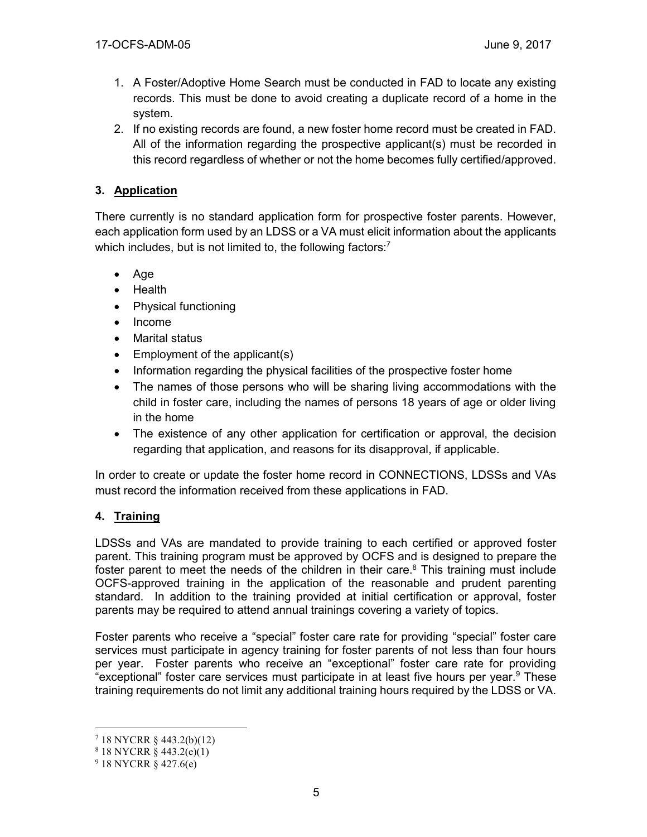- 1. A Foster/Adoptive Home Search must be conducted in FAD to locate any existing records. This must be done to avoid creating a duplicate record of a home in the system.
- 2. If no existing records are found, a new foster home record must be created in FAD. All of the information regarding the prospective applicant(s) must be recorded in this record regardless of whether or not the home becomes fully certified/approved.

# **3. Application**

There currently is no standard application form for prospective foster parents. However, each application form used by an LDSS or a VA must elicit information about the applicants which includes, but is not limited to, the following factors:<sup>7</sup>

- $\bullet$  Age
- Health
- Physical functioning
- Income
- Marital status
- $\bullet$  Employment of the applicant(s)
- Information regarding the physical facilities of the prospective foster home
- The names of those persons who will be sharing living accommodations with the child in foster care, including the names of persons 18 years of age or older living in the home
- The existence of any other application for certification or approval, the decision regarding that application, and reasons for its disapproval, if applicable.

In order to create or update the foster home record in CONNECTIONS, LDSSs and VAs must record the information received from these applications in FAD.

# **4. Training**

LDSSs and VAs are mandated to provide training to each certified or approved foster parent. This training program must be approved by OCFS and is designed to prepare the foster parent to meet the needs of the children in their care. $8$  This training must include OCFS-approved training in the application of the reasonable and prudent parenting standard. In addition to the training provided at initial certification or approval, foster parents may be required to attend annual trainings covering a variety of topics.

Foster parents who receive a "special" foster care rate for providing "special" foster care services must participate in agency training for foster parents of not less than four hours per year. Foster parents who receive an "exceptional" foster care rate for providing "exceptional" foster care services must participate in at least five hours per year.<sup>9</sup> These training requirements do not limit any additional training hours required by the LDSS or VA.

<sup>7</sup> 18 NYCRR § 443.2(b)(12)

 $818$  NYCRR  $§$  443.2(e)(1)

 $918$  NYCRR  $\hat{8}$  427.6(e)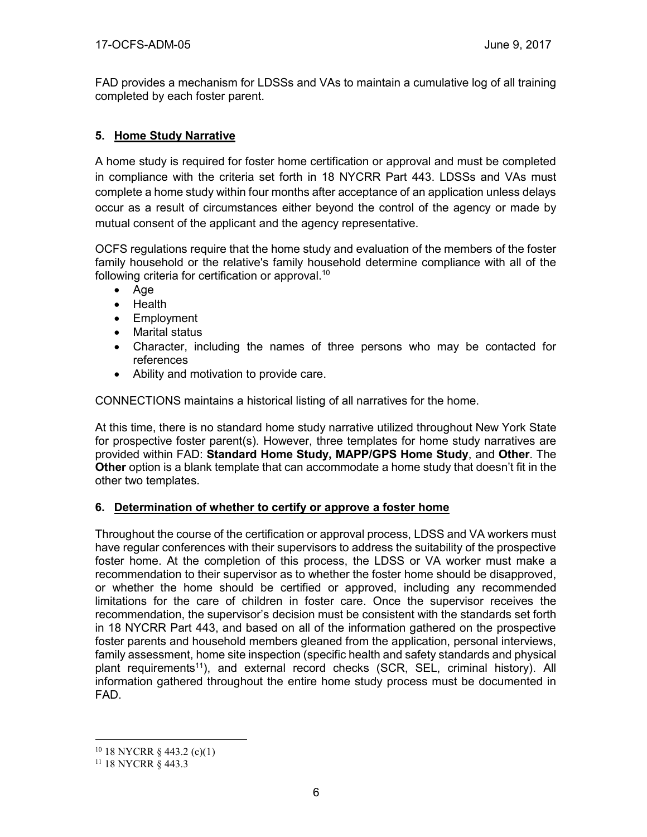FAD provides a mechanism for LDSSs and VAs to maintain a cumulative log of all training completed by each foster parent.

## **5. Home Study Narrative**

A home study is required for foster home certification or approval and must be completed in compliance with the criteria set forth in 18 NYCRR Part 443. LDSSs and VAs must complete a home study within four months after acceptance of an application unless delays occur as a result of circumstances either beyond the control of the agency or made by mutual consent of the applicant and the agency representative.

OCFS regulations require that the home study and evaluation of the members of the foster family household or the relative's family household determine compliance with all of the following criteria for certification or approval.<sup>10</sup>

- Age
- Health
- Employment
- Marital status
- Character, including the names of three persons who may be contacted for references
- Ability and motivation to provide care.

CONNECTIONS maintains a historical listing of all narratives for the home.

At this time, there is no standard home study narrative utilized throughout New York State for prospective foster parent(s). However, three templates for home study narratives are provided within FAD: **Standard Home Study, MAPP/GPS Home Study**, and **Other**. The **Other** option is a blank template that can accommodate a home study that doesn't fit in the other two templates.

## **6. Determination of whether to certify or approve a foster home**

Throughout the course of the certification or approval process, LDSS and VA workers must have regular conferences with their supervisors to address the suitability of the prospective foster home. At the completion of this process, the LDSS or VA worker must make a recommendation to their supervisor as to whether the foster home should be disapproved, or whether the home should be certified or approved, including any recommended limitations for the care of children in foster care. Once the supervisor receives the recommendation, the supervisor's decision must be consistent with the standards set forth in 18 NYCRR Part 443, and based on all of the information gathered on the prospective foster parents and household members gleaned from the application, personal interviews, family assessment, home site inspection (specific health and safety standards and physical plant requirements<sup>11</sup>), and external record checks (SCR, SEL, criminal history). All information gathered throughout the entire home study process must be documented in FAD.

 $10$  18 NYCRR § 443.2 (c)(1)

<sup>11</sup> 18 NYCRR § 443.3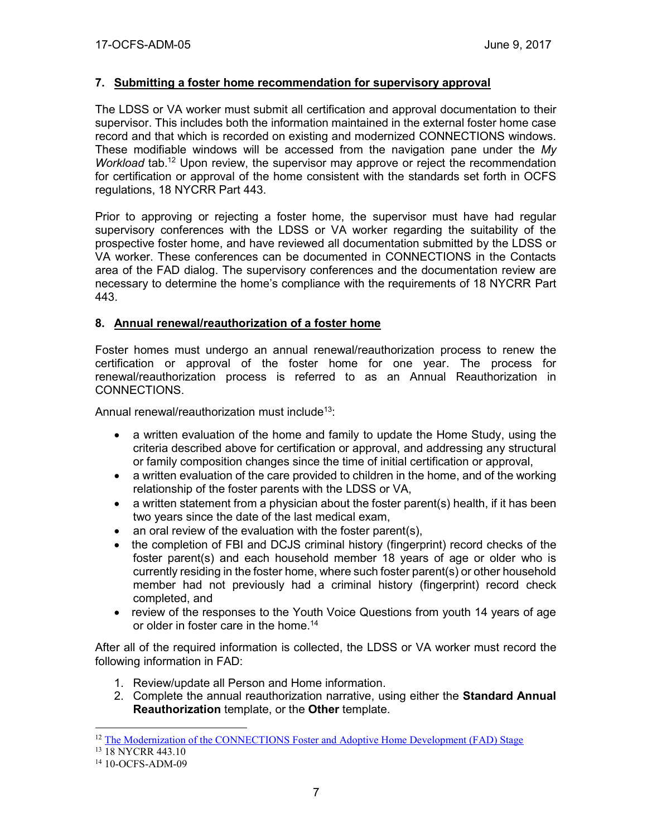### **7. Submitting a foster home recommendation for supervisory approval**

The LDSS or VA worker must submit all certification and approval documentation to their supervisor. This includes both the information maintained in the external foster home case record and that which is recorded on existing and modernized CONNECTIONS windows. These modifiable windows will be accessed from the navigation pane under the *My*  Workload tab.<sup>12</sup> Upon review, the supervisor may approve or reject the recommendation for certification or approval of the home consistent with the standards set forth in OCFS regulations, 18 NYCRR Part 443.

Prior to approving or rejecting a foster home, the supervisor must have had regular supervisory conferences with the LDSS or VA worker regarding the suitability of the prospective foster home, and have reviewed all documentation submitted by the LDSS or VA worker. These conferences can be documented in CONNECTIONS in the Contacts area of the FAD dialog. The supervisory conferences and the documentation review are necessary to determine the home's compliance with the requirements of 18 NYCRR Part 443.

#### **8. Annual renewal/reauthorization of a foster home**

Foster homes must undergo an annual renewal/reauthorization process to renew the certification or approval of the foster home for one year. The process for renewal/reauthorization process is referred to as an Annual Reauthorization in CONNECTIONS.

Annual renewal/reauthorization must include<sup>13</sup>:

- a written evaluation of the home and family to update the Home Study, using the criteria described above for certification or approval, and addressing any structural or family composition changes since the time of initial certification or approval,
- a written evaluation of the care provided to children in the home, and of the working relationship of the foster parents with the LDSS or VA,
- a written statement from a physician about the foster parent(s) health, if it has been two years since the date of the last medical exam,
- an oral review of the evaluation with the foster parent(s),
- the completion of FBI and DCJS criminal history (fingerprint) record checks of the foster parent(s) and each household member 18 years of age or older who is currently residing in the foster home, where such foster parent(s) or other household member had not previously had a criminal history (fingerprint) record check completed, and
- review of the responses to the Youth Voice Questions from youth 14 years of age or older in foster care in the home.<sup>14</sup>

After all of the required information is collected, the LDSS or VA worker must record the following information in FAD:

- 1. Review/update all Person and Home information.
- 2. Complete the annual reauthorization narrative, using either the **Standard Annual Reauthorization** template, or the **Other** template.

<sup>&</sup>lt;sup>12</sup> [The Modernization of the CONNECTIONS Foster and Adoptive Home Development \(FAD\) Stage](http://ocfs.ny.gov/connect/imp/FRS/Modernization%20of%20the%20Foster%20and%20Adoptive%20Home%20Development%20(FAD)%20Stage%20Jo...%20(002).pdf)

<sup>13</sup> 18 NYCRR 443.10

<sup>14</sup> 10-OCFS-ADM-09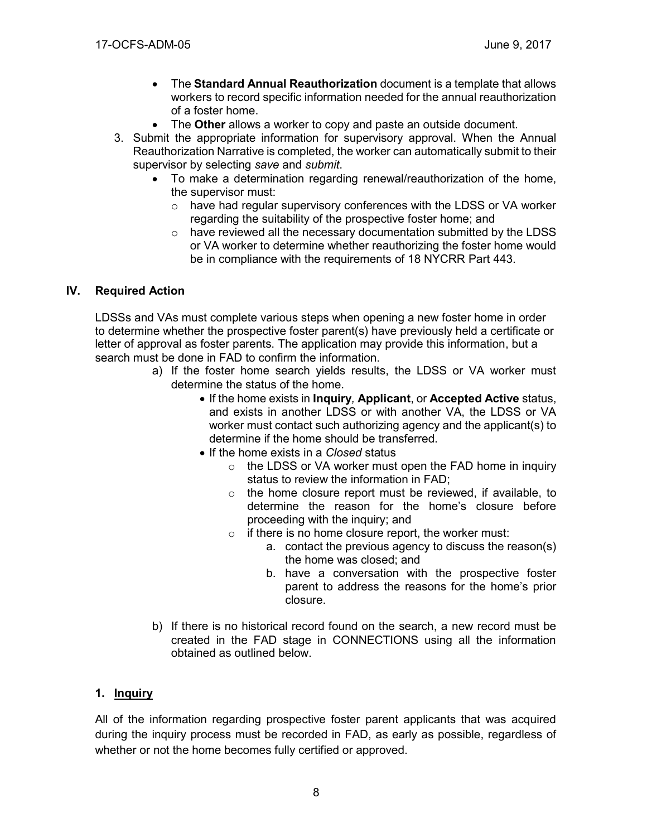- The **Standard Annual Reauthorization** document is a template that allows workers to record specific information needed for the annual reauthorization of a foster home.
- The **Other** allows a worker to copy and paste an outside document.
- 3. Submit the appropriate information for supervisory approval. When the Annual Reauthorization Narrative is completed, the worker can automatically submit to their supervisor by selecting *save* and *submit*.
	- To make a determination regarding renewal/reauthorization of the home, the supervisor must:
		- o have had regular supervisory conferences with the LDSS or VA worker regarding the suitability of the prospective foster home; and
		- o have reviewed all the necessary documentation submitted by the LDSS or VA worker to determine whether reauthorizing the foster home would be in compliance with the requirements of 18 NYCRR Part 443.

### **IV. Required Action**

LDSSs and VAs must complete various steps when opening a new foster home in order to determine whether the prospective foster parent(s) have previously held a certificate or letter of approval as foster parents. The application may provide this information, but a search must be done in FAD to confirm the information.

- a) If the foster home search yields results, the LDSS or VA worker must determine the status of the home.
	- If the home exists in **Inquiry***,* **Applicant**, or **Accepted Active** status, and exists in another LDSS or with another VA, the LDSS or VA worker must contact such authorizing agency and the applicant(s) to determine if the home should be transferred.
	- If the home exists in a *Closed* status
		- $\circ$  the LDSS or VA worker must open the FAD home in inquiry status to review the information in FAD;
		- $\circ$  the home closure report must be reviewed, if available, to determine the reason for the home's closure before proceeding with the inquiry; and
		- $\circ$  if there is no home closure report, the worker must:
			- a. contact the previous agency to discuss the reason(s) the home was closed; and
			- b. have a conversation with the prospective foster parent to address the reasons for the home's prior closure.
- b) If there is no historical record found on the search, a new record must be created in the FAD stage in CONNECTIONS using all the information obtained as outlined below.

## **1. Inquiry**

All of the information regarding prospective foster parent applicants that was acquired during the inquiry process must be recorded in FAD, as early as possible, regardless of whether or not the home becomes fully certified or approved.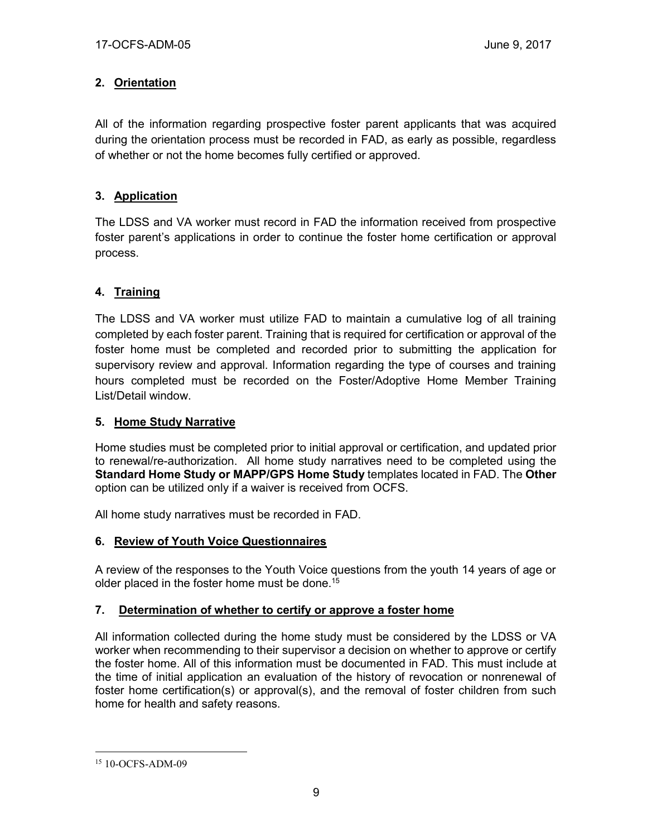## **2. Orientation**

All of the information regarding prospective foster parent applicants that was acquired during the orientation process must be recorded in FAD, as early as possible, regardless of whether or not the home becomes fully certified or approved.

## **3. Application**

The LDSS and VA worker must record in FAD the information received from prospective foster parent's applications in order to continue the foster home certification or approval process.

## **4. Training**

The LDSS and VA worker must utilize FAD to maintain a cumulative log of all training completed by each foster parent. Training that is required for certification or approval of the foster home must be completed and recorded prior to submitting the application for supervisory review and approval. Information regarding the type of courses and training hours completed must be recorded on the Foster/Adoptive Home Member Training List/Detail window.

## **5. Home Study Narrative**

Home studies must be completed prior to initial approval or certification, and updated prior to renewal/re-authorization. All home study narratives need to be completed using the **Standard Home Study or MAPP/GPS Home Study** templates located in FAD. The **Other** option can be utilized only if a waiver is received from OCFS.

All home study narratives must be recorded in FAD.

## **6. Review of Youth Voice Questionnaires**

A review of the responses to the Youth Voice questions from the youth 14 years of age or older placed in the foster home must be done.<sup>15</sup>

## **7. Determination of whether to certify or approve a foster home**

All information collected during the home study must be considered by the LDSS or VA worker when recommending to their supervisor a decision on whether to approve or certify the foster home. All of this information must be documented in FAD. This must include at the time of initial application an evaluation of the history of revocation or nonrenewal of foster home certification(s) or approval(s), and the removal of foster children from such home for health and safety reasons.

 $\overline{a}$ <sup>15</sup> 10-OCFS-ADM-09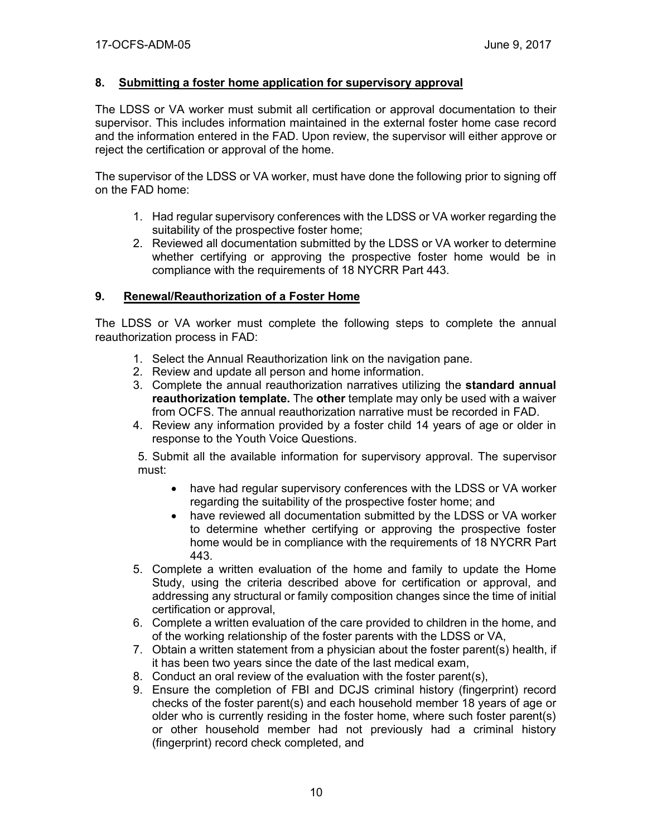### **8. Submitting a foster home application for supervisory approval**

The LDSS or VA worker must submit all certification or approval documentation to their supervisor. This includes information maintained in the external foster home case record and the information entered in the FAD. Upon review, the supervisor will either approve or reject the certification or approval of the home.

The supervisor of the LDSS or VA worker, must have done the following prior to signing off on the FAD home:

- 1. Had regular supervisory conferences with the LDSS or VA worker regarding the suitability of the prospective foster home;
- 2. Reviewed all documentation submitted by the LDSS or VA worker to determine whether certifying or approving the prospective foster home would be in compliance with the requirements of 18 NYCRR Part 443.

#### **9. Renewal/Reauthorization of a Foster Home**

The LDSS or VA worker must complete the following steps to complete the annual reauthorization process in FAD:

- 1. Select the Annual Reauthorization link on the navigation pane.
- 2. Review and update all person and home information.
- 3. Complete the annual reauthorization narratives utilizing the **standard annual reauthorization template.** The **other** template may only be used with a waiver from OCFS. The annual reauthorization narrative must be recorded in FAD.
- 4. Review any information provided by a foster child 14 years of age or older in response to the Youth Voice Questions.

5. Submit all the available information for supervisory approval. The supervisor must:

- have had regular supervisory conferences with the LDSS or VA worker regarding the suitability of the prospective foster home; and
- have reviewed all documentation submitted by the LDSS or VA worker to determine whether certifying or approving the prospective foster home would be in compliance with the requirements of 18 NYCRR Part 443.
- 5. Complete a written evaluation of the home and family to update the Home Study, using the criteria described above for certification or approval, and addressing any structural or family composition changes since the time of initial certification or approval,
- 6. Complete a written evaluation of the care provided to children in the home, and of the working relationship of the foster parents with the LDSS or VA,
- 7. Obtain a written statement from a physician about the foster parent(s) health, if it has been two years since the date of the last medical exam,
- 8. Conduct an oral review of the evaluation with the foster parent(s),
- 9. Ensure the completion of FBI and DCJS criminal history (fingerprint) record checks of the foster parent(s) and each household member 18 years of age or older who is currently residing in the foster home, where such foster parent(s) or other household member had not previously had a criminal history (fingerprint) record check completed, and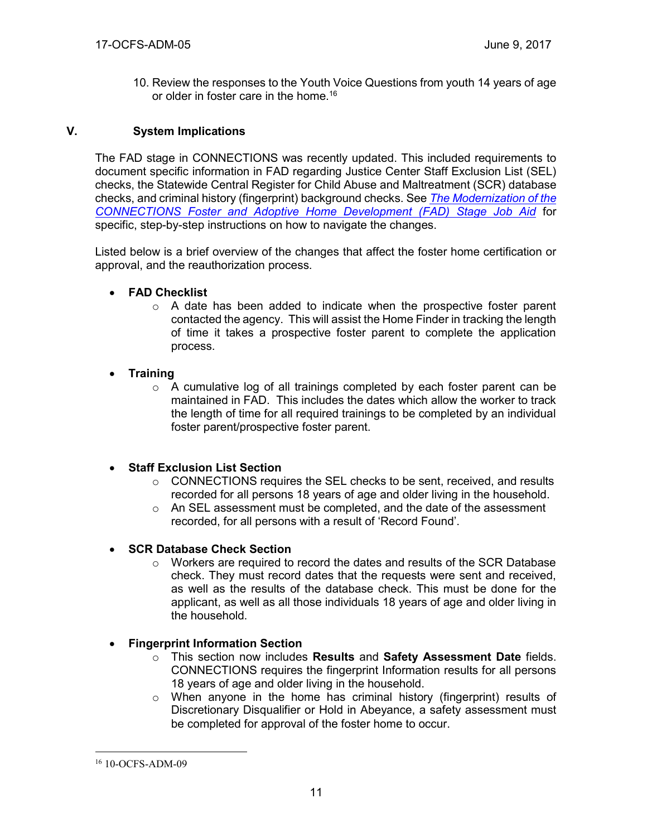10. Review the responses to the Youth Voice Questions from youth 14 years of age or older in foster care in the home.<sup>16</sup>

### **V. System Implications**

The FAD stage in CONNECTIONS was recently updated. This included requirements to document specific information in FAD regarding Justice Center Staff Exclusion List (SEL) checks, the Statewide Central Register for Child Abuse and Maltreatment (SCR) database checks, and criminal history (fingerprint) background checks. See *[The Modernization of the](http://ocfs.state.nyenet/connect/imp/FRS/Modernization%20of%20the%20Foster%20and%20Adoptive%20Home%20Development%20(FAD)%20Stage%20Jo...%20(002).pdf)  [CONNECTIONS Foster and Adoptive Home Development \(FAD\) Stage Job Aid](http://ocfs.state.nyenet/connect/imp/FRS/Modernization%20of%20the%20Foster%20and%20Adoptive%20Home%20Development%20(FAD)%20Stage%20Jo...%20(002).pdf)* for specific, step-by-step instructions on how to navigate the changes.

Listed below is a brief overview of the changes that affect the foster home certification or approval, and the reauthorization process.

### **FAD Checklist**

 $\circ$  A date has been added to indicate when the prospective foster parent contacted the agency. This will assist the Home Finder in tracking the length of time it takes a prospective foster parent to complete the application process.

### **Training**

 $\circ$  A cumulative log of all trainings completed by each foster parent can be maintained in FAD. This includes the dates which allow the worker to track the length of time for all required trainings to be completed by an individual foster parent/prospective foster parent.

## **Staff Exclusion List Section**

- $\circ$  CONNECTIONS requires the SEL checks to be sent, received, and results recorded for all persons 18 years of age and older living in the household.
- $\circ$  An SEL assessment must be completed, and the date of the assessment recorded, for all persons with a result of 'Record Found'.

## **SCR Database Check Section**

 $\circ$  Workers are required to record the dates and results of the SCR Database check. They must record dates that the requests were sent and received, as well as the results of the database check. This must be done for the applicant, as well as all those individuals 18 years of age and older living in the household.

## **Fingerprint Information Section**

- o This section now includes **Results** and **Safety Assessment Date** fields. CONNECTIONS requires the fingerprint Information results for all persons 18 years of age and older living in the household.
- $\circ$  When anyone in the home has criminal history (fingerprint) results of Discretionary Disqualifier or Hold in Abeyance, a safety assessment must be completed for approval of the foster home to occur.

<sup>16</sup> 10-OCFS-ADM-09